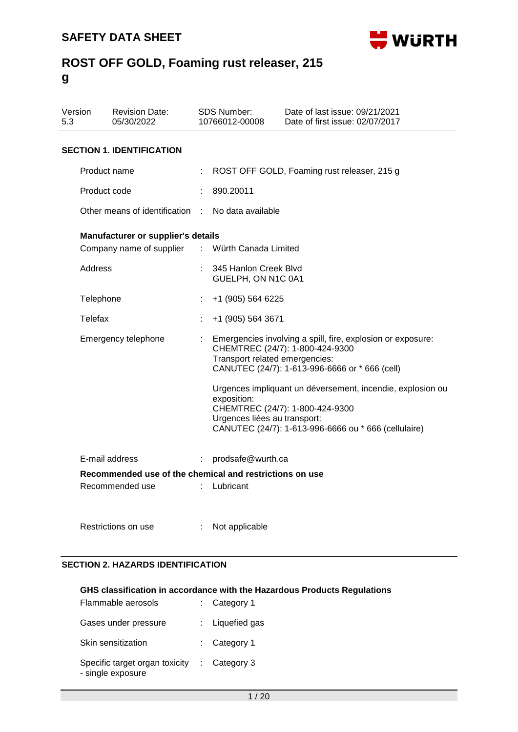

| Version<br>5.3 |                     | <b>Revision Date:</b><br>05/30/2022                     |    | <b>SDS Number:</b><br>10766012-00008        | Date of last issue: 09/21/2021<br>Date of first issue: 02/07/2017                                                                                     |  |
|----------------|---------------------|---------------------------------------------------------|----|---------------------------------------------|-------------------------------------------------------------------------------------------------------------------------------------------------------|--|
|                |                     | <b>SECTION 1. IDENTIFICATION</b>                        |    |                                             |                                                                                                                                                       |  |
|                | Product name        |                                                         |    |                                             | ROST OFF GOLD, Foaming rust releaser, 215 g                                                                                                           |  |
|                | Product code        |                                                         |    | 890.20011                                   |                                                                                                                                                       |  |
|                |                     | Other means of identification                           | ÷  | No data available                           |                                                                                                                                                       |  |
|                |                     | Manufacturer or supplier's details                      |    |                                             |                                                                                                                                                       |  |
|                |                     | Company name of supplier                                | ÷. | Würth Canada Limited                        |                                                                                                                                                       |  |
|                | Address             |                                                         |    | 345 Hanlon Creek Blvd<br>GUELPH, ON N1C 0A1 |                                                                                                                                                       |  |
|                | Telephone           |                                                         |    | +1 (905) 564 6225                           |                                                                                                                                                       |  |
|                | Telefax             |                                                         |    | +1 (905) 564 3671                           |                                                                                                                                                       |  |
|                | Emergency telephone |                                                         |    | Transport related emergencies:              | Emergencies involving a spill, fire, explosion or exposure:<br>CHEMTREC (24/7): 1-800-424-9300<br>CANUTEC (24/7): 1-613-996-6666 or * 666 (cell)      |  |
|                |                     |                                                         |    | exposition:<br>Urgences liées au transport: | Urgences impliquant un déversement, incendie, explosion ou<br>CHEMTREC (24/7): 1-800-424-9300<br>CANUTEC (24/7): 1-613-996-6666 ou * 666 (cellulaire) |  |
|                |                     | E-mail address                                          | ÷  | prodsafe@wurth.ca                           |                                                                                                                                                       |  |
|                |                     | Recommended use of the chemical and restrictions on use |    |                                             |                                                                                                                                                       |  |
|                |                     | Recommended use                                         | t. | Lubricant                                   |                                                                                                                                                       |  |
|                |                     | Restrictions on use                                     |    | Not applicable                              |                                                                                                                                                       |  |

### **SECTION 2. HAZARDS IDENTIFICATION**

#### **GHS classification in accordance with the Hazardous Products Regulations**

| Flammable aerosols                                  | : Category 1            |
|-----------------------------------------------------|-------------------------|
| Gases under pressure                                | : Liquefied gas         |
| Skin sensitization                                  | $:$ Category 1          |
| Specific target organ toxicity<br>- single exposure | $\therefore$ Category 3 |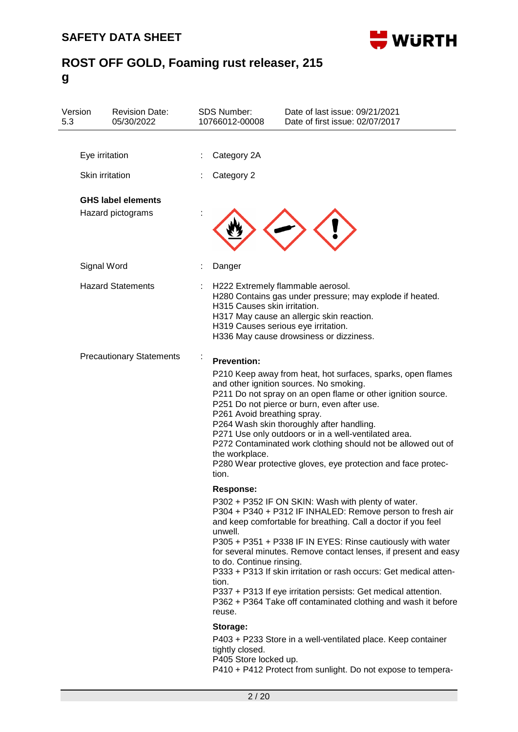

| Version<br>5.3 | <b>Revision Date:</b><br>05/30/2022            | <b>SDS Number:</b><br>10766012-00008                                         | Date of last issue: 09/21/2021<br>Date of first issue: 02/07/2017                                                                                                                                                                                                                                                                                                                                                                                                                                                         |
|----------------|------------------------------------------------|------------------------------------------------------------------------------|---------------------------------------------------------------------------------------------------------------------------------------------------------------------------------------------------------------------------------------------------------------------------------------------------------------------------------------------------------------------------------------------------------------------------------------------------------------------------------------------------------------------------|
|                | Eye irritation                                 | Category 2A                                                                  |                                                                                                                                                                                                                                                                                                                                                                                                                                                                                                                           |
|                | Skin irritation                                | Category 2                                                                   |                                                                                                                                                                                                                                                                                                                                                                                                                                                                                                                           |
|                | <b>GHS label elements</b><br>Hazard pictograms |                                                                              |                                                                                                                                                                                                                                                                                                                                                                                                                                                                                                                           |
|                | Signal Word                                    | Danger                                                                       |                                                                                                                                                                                                                                                                                                                                                                                                                                                                                                                           |
|                | <b>Hazard Statements</b>                       | H315 Causes skin irritation.                                                 | H222 Extremely flammable aerosol.<br>H280 Contains gas under pressure; may explode if heated.<br>H317 May cause an allergic skin reaction.<br>H319 Causes serious eye irritation.<br>H336 May cause drowsiness or dizziness.                                                                                                                                                                                                                                                                                              |
|                | <b>Precautionary Statements</b>                | <b>Prevention:</b><br>P261 Avoid breathing spray.<br>the workplace.<br>tion. | P210 Keep away from heat, hot surfaces, sparks, open flames<br>and other ignition sources. No smoking.<br>P211 Do not spray on an open flame or other ignition source.<br>P251 Do not pierce or burn, even after use.<br>P264 Wash skin thoroughly after handling.<br>P271 Use only outdoors or in a well-ventilated area.<br>P272 Contaminated work clothing should not be allowed out of<br>P280 Wear protective gloves, eye protection and face protec-                                                                |
|                |                                                | <b>Response:</b><br>unwell.<br>to do. Continue rinsing.<br>tion.<br>reuse.   | P302 + P352 IF ON SKIN: Wash with plenty of water.<br>P304 + P340 + P312 IF INHALED: Remove person to fresh air<br>and keep comfortable for breathing. Call a doctor if you feel<br>P305 + P351 + P338 IF IN EYES: Rinse cautiously with water<br>for several minutes. Remove contact lenses, if present and easy<br>P333 + P313 If skin irritation or rash occurs: Get medical atten-<br>P337 + P313 If eye irritation persists: Get medical attention.<br>P362 + P364 Take off contaminated clothing and wash it before |
|                |                                                | Storage:<br>tightly closed.<br>P405 Store locked up.                         | P403 + P233 Store in a well-ventilated place. Keep container<br>P410 + P412 Protect from sunlight. Do not expose to tempera-                                                                                                                                                                                                                                                                                                                                                                                              |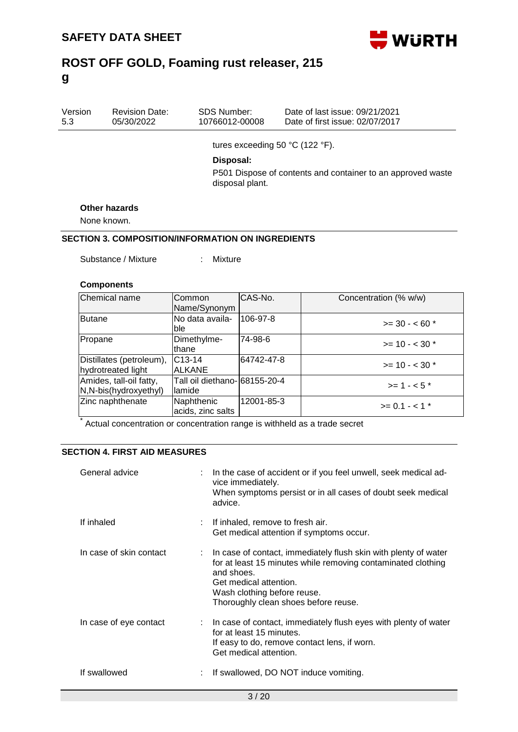

| Version | <b>Revision Date:</b> | SDS Number:    | Date of last issue: 09/21/2021  |
|---------|-----------------------|----------------|---------------------------------|
| 5.3     | 05/30/2022            | 10766012-00008 | Date of first issue: 02/07/2017 |
|         |                       |                |                                 |

tures exceeding 50 °C (122 °F).

#### **Disposal:**

P501 Dispose of contents and container to an approved waste disposal plant.

#### **Other hazards**

None known.

### **SECTION 3. COMPOSITION/INFORMATION ON INGREDIENTS**

Substance / Mixture : Mixture

#### **Components**

| Chemical name                                       | Common<br>Name/Synonym                  | CAS-No.    | Concentration (% w/w)       |
|-----------------------------------------------------|-----------------------------------------|------------|-----------------------------|
| Butane                                              | No data availa-<br>ble                  | 106-97-8   | $>=$ 30 - < 60 $*$          |
| Propane                                             | Dimethylme-<br>thane                    | 74-98-6    | $>= 10 - < 30$ *            |
| Distillates (petroleum),<br>hydrotreated light      | C <sub>13</sub> -14<br><b>ALKANE</b>    | 64742-47-8 | $>= 10 - < 30$ *            |
| Amides, tall-oil fatty,<br>$N, N-bis(hydroxyethyl)$ | Tall oil diethano- 68155-20-4<br>lamide |            | $>= 1 - 5$                  |
| Zinc naphthenate                                    | Naphthenic<br>acids, zinc salts         | 12001-85-3 | $>= 0.1 - < 1$ <sup>*</sup> |

Actual concentration or concentration range is withheld as a trade secret

#### **SECTION 4. FIRST AID MEASURES**

| General advice          | : In the case of accident or if you feel unwell, seek medical ad-<br>vice immediately.<br>When symptoms persist or in all cases of doubt seek medical<br>advice.                                                                                 |
|-------------------------|--------------------------------------------------------------------------------------------------------------------------------------------------------------------------------------------------------------------------------------------------|
| If inhaled              | : If inhaled, remove to fresh air.<br>Get medical attention if symptoms occur.                                                                                                                                                                   |
| In case of skin contact | : In case of contact, immediately flush skin with plenty of water<br>for at least 15 minutes while removing contaminated clothing<br>and shoes.<br>Get medical attention.<br>Wash clothing before reuse.<br>Thoroughly clean shoes before reuse. |
| In case of eye contact  | $\therefore$ In case of contact, immediately flush eyes with plenty of water<br>for at least 15 minutes.<br>If easy to do, remove contact lens, if worn.<br>Get medical attention.                                                               |
| If swallowed            | If swallowed, DO NOT induce vomiting.                                                                                                                                                                                                            |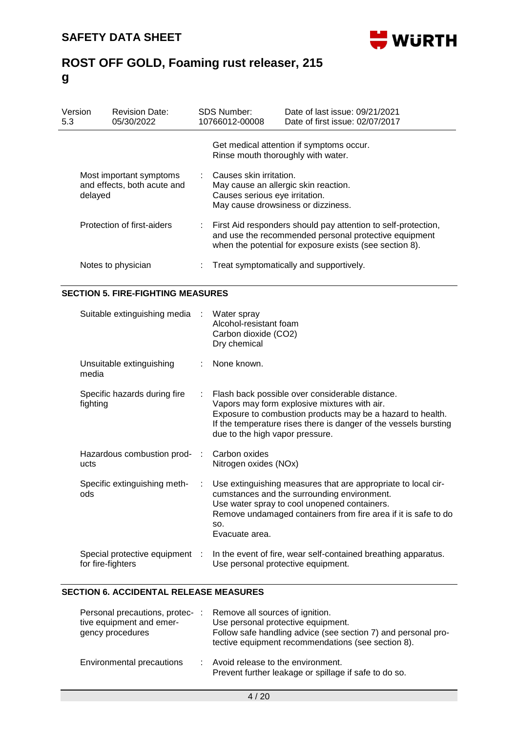

| Version<br>5.3 |                            | <b>Revision Date:</b><br>05/30/2022                    | <b>SDS Number:</b><br>10766012-00008                                                                                                      | Date of last issue: 09/21/2021<br>Date of first issue: 02/07/2017                                                                                                                   |
|----------------|----------------------------|--------------------------------------------------------|-------------------------------------------------------------------------------------------------------------------------------------------|-------------------------------------------------------------------------------------------------------------------------------------------------------------------------------------|
|                |                            |                                                        | Rinse mouth thoroughly with water.                                                                                                        | Get medical attention if symptoms occur.                                                                                                                                            |
|                | delayed                    | Most important symptoms<br>and effects, both acute and | : Causes skin irritation.<br>May cause an allergic skin reaction.<br>Causes serious eye irritation.<br>May cause drowsiness or dizziness. |                                                                                                                                                                                     |
|                | Protection of first-aiders |                                                        |                                                                                                                                           | : First Aid responders should pay attention to self-protection,<br>and use the recommended personal protective equipment<br>when the potential for exposure exists (see section 8). |
|                |                            | Notes to physician                                     |                                                                                                                                           | Treat symptomatically and supportively.                                                                                                                                             |

### **SECTION 5. FIRE-FIGHTING MEASURES**

| Suitable extinguishing media :                    |               | Water spray<br>Alcohol-resistant foam<br>Carbon dioxide (CO2)<br>Dry chemical                                                                                                                                                                                        |
|---------------------------------------------------|---------------|----------------------------------------------------------------------------------------------------------------------------------------------------------------------------------------------------------------------------------------------------------------------|
| Unsuitable extinguishing<br>media                 | $\mathcal{L}$ | None known.                                                                                                                                                                                                                                                          |
| Specific hazards during fire<br>fighting          | ÷.            | Flash back possible over considerable distance.<br>Vapors may form explosive mixtures with air.<br>Exposure to combustion products may be a hazard to health.<br>If the temperature rises there is danger of the vessels bursting<br>due to the high vapor pressure. |
| Hazardous combustion prod-<br>ucts                |               | Carbon oxides<br>Nitrogen oxides (NOx)                                                                                                                                                                                                                               |
| Specific extinguishing meth-<br>ods               | ÷             | Use extinguishing measures that are appropriate to local cir-<br>cumstances and the surrounding environment.<br>Use water spray to cool unopened containers.<br>Remove undamaged containers from fire area if it is safe to do<br>SO.<br>Evacuate area.              |
| Special protective equipment<br>for fire-fighters |               | In the event of fire, wear self-contained breathing apparatus.<br>Use personal protective equipment.                                                                                                                                                                 |

### **SECTION 6. ACCIDENTAL RELEASE MEASURES**

| Personal precautions, protec-:<br>tive equipment and emer-<br>gency procedures | Remove all sources of ignition.<br>Use personal protective equipment.<br>Follow safe handling advice (see section 7) and personal pro-<br>tective equipment recommendations (see section 8). |
|--------------------------------------------------------------------------------|----------------------------------------------------------------------------------------------------------------------------------------------------------------------------------------------|
| Environmental precautions                                                      | : Avoid release to the environment.<br>Prevent further leakage or spillage if safe to do so.                                                                                                 |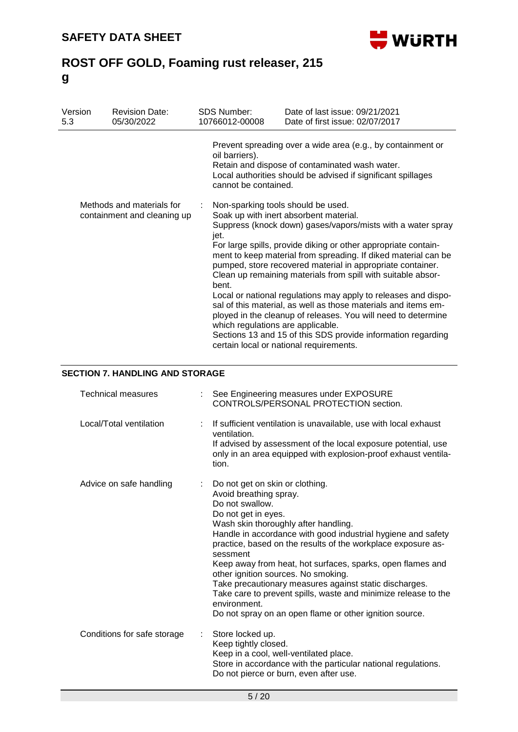

| Version<br>5.3                                           | <b>Revision Date:</b><br>05/30/2022 | <b>SDS Number:</b><br>10766012-00008                                                                                                                                                                                    | Date of last issue: 09/21/2021<br>Date of first issue: 02/07/2017                                                                                                                                                                                                                                                                                                                                                                                                                                                                                                                                                                                                                       |  |  |  |
|----------------------------------------------------------|-------------------------------------|-------------------------------------------------------------------------------------------------------------------------------------------------------------------------------------------------------------------------|-----------------------------------------------------------------------------------------------------------------------------------------------------------------------------------------------------------------------------------------------------------------------------------------------------------------------------------------------------------------------------------------------------------------------------------------------------------------------------------------------------------------------------------------------------------------------------------------------------------------------------------------------------------------------------------------|--|--|--|
|                                                          |                                     | Prevent spreading over a wide area (e.g., by containment or<br>oil barriers).<br>Retain and dispose of contaminated wash water.<br>Local authorities should be advised if significant spillages<br>cannot be contained. |                                                                                                                                                                                                                                                                                                                                                                                                                                                                                                                                                                                                                                                                                         |  |  |  |
| Methods and materials for<br>containment and cleaning up |                                     | Non-sparking tools should be used.<br>jet.<br>bent.<br>which regulations are applicable.                                                                                                                                | Soak up with inert absorbent material.<br>Suppress (knock down) gases/vapors/mists with a water spray<br>For large spills, provide diking or other appropriate contain-<br>ment to keep material from spreading. If diked material can be<br>pumped, store recovered material in appropriate container.<br>Clean up remaining materials from spill with suitable absor-<br>Local or national regulations may apply to releases and dispo-<br>sal of this material, as well as those materials and items em-<br>ployed in the cleanup of releases. You will need to determine<br>Sections 13 and 15 of this SDS provide information regarding<br>certain local or national requirements. |  |  |  |

## **SECTION 7. HANDLING AND STORAGE**

| <b>Technical measures</b>   |    | See Engineering measures under EXPOSURE<br>CONTROLS/PERSONAL PROTECTION section.                                                                                                                                                                                                                                                                                                                                                                                                                                                                                                                    |
|-----------------------------|----|-----------------------------------------------------------------------------------------------------------------------------------------------------------------------------------------------------------------------------------------------------------------------------------------------------------------------------------------------------------------------------------------------------------------------------------------------------------------------------------------------------------------------------------------------------------------------------------------------------|
| Local/Total ventilation     |    | If sufficient ventilation is unavailable, use with local exhaust<br>ventilation.<br>If advised by assessment of the local exposure potential, use<br>only in an area equipped with explosion-proof exhaust ventila-<br>tion.                                                                                                                                                                                                                                                                                                                                                                        |
| Advice on safe handling     |    | Do not get on skin or clothing.<br>Avoid breathing spray.<br>Do not swallow.<br>Do not get in eyes.<br>Wash skin thoroughly after handling.<br>Handle in accordance with good industrial hygiene and safety<br>practice, based on the results of the workplace exposure as-<br>sessment<br>Keep away from heat, hot surfaces, sparks, open flames and<br>other ignition sources. No smoking.<br>Take precautionary measures against static discharges.<br>Take care to prevent spills, waste and minimize release to the<br>environment.<br>Do not spray on an open flame or other ignition source. |
| Conditions for safe storage | t. | Store locked up.<br>Keep tightly closed.<br>Keep in a cool, well-ventilated place.<br>Store in accordance with the particular national regulations.<br>Do not pierce or burn, even after use.                                                                                                                                                                                                                                                                                                                                                                                                       |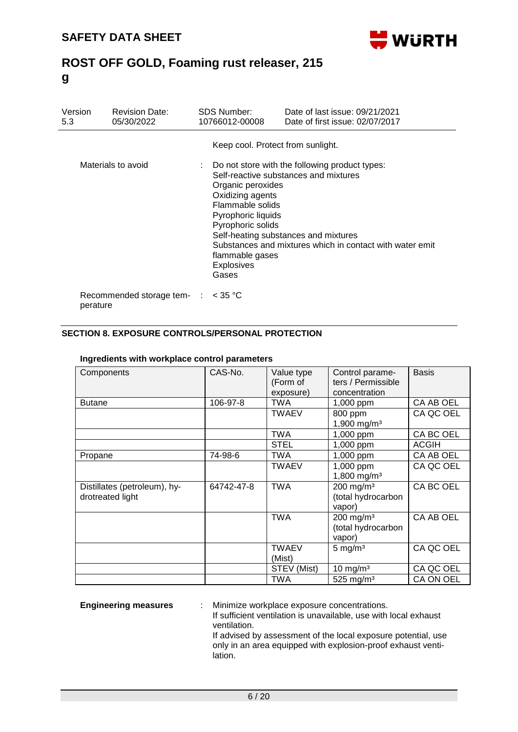

| Version<br>5.3 | <b>Revision Date:</b><br>05/30/2022 | SDS Number:<br>10766012-00008                                                                                                                         | Date of last issue: 09/21/2021<br>Date of first issue: 02/07/2017                                                                                                                           |
|----------------|-------------------------------------|-------------------------------------------------------------------------------------------------------------------------------------------------------|---------------------------------------------------------------------------------------------------------------------------------------------------------------------------------------------|
|                |                                     | Keep cool. Protect from sunlight.                                                                                                                     |                                                                                                                                                                                             |
|                | Materials to avoid                  | Organic peroxides<br>Oxidizing agents<br>Flammable solids<br>Pyrophoric liquids<br>Pyrophoric solids<br>flammable gases<br><b>Explosives</b><br>Gases | Do not store with the following product types:<br>Self-reactive substances and mixtures<br>Self-heating substances and mixtures<br>Substances and mixtures which in contact with water emit |
| perature       | Recommended storage tem- :          | $<$ 35 °C                                                                                                                                             |                                                                                                                                                                                             |

### **SECTION 8. EXPOSURE CONTROLS/PERSONAL PROTECTION**

| Components                                       | CAS-No.    | <b>Basis</b><br>Value type<br>Control parame-<br>ters / Permissible<br>(Form of<br>exposure)<br>concentration |                                                         |              |
|--------------------------------------------------|------------|---------------------------------------------------------------------------------------------------------------|---------------------------------------------------------|--------------|
| <b>Butane</b>                                    | 106-97-8   | <b>TWA</b>                                                                                                    | 1,000 ppm                                               | CA AB OEL    |
|                                                  |            | <b>TWAEV</b>                                                                                                  | 800 ppm<br>1,900 mg/m <sup>3</sup>                      | CA QC OEL    |
|                                                  |            | <b>TWA</b>                                                                                                    | 1,000 ppm                                               | CA BC OEL    |
|                                                  |            | <b>STEL</b>                                                                                                   | 1,000 ppm                                               | <b>ACGIH</b> |
| Propane                                          | 74-98-6    | <b>TWA</b>                                                                                                    | 1,000 ppm                                               | CA AB OEL    |
|                                                  |            | <b>TWAEV</b>                                                                                                  | 1,000 ppm<br>1,800 mg/m <sup>3</sup>                    | CA QC OEL    |
| Distillates (petroleum), hy-<br>drotreated light | 64742-47-8 | <b>TWA</b>                                                                                                    | $200$ mg/m <sup>3</sup><br>(total hydrocarbon<br>vapor) | CA BC OEL    |
|                                                  |            | <b>TWA</b>                                                                                                    | $200$ mg/m <sup>3</sup><br>(total hydrocarbon<br>vapor) | CA AB OEL    |
|                                                  |            | <b>TWAEV</b><br>(Mist)                                                                                        | $5 \text{ mg/m}^3$                                      | CA QC OEL    |
|                                                  |            | STEV (Mist)                                                                                                   | 10 mg/m $3$                                             | CA QC OEL    |
|                                                  |            | TWA                                                                                                           | 525 mg/m $3$                                            | CA ON OEL    |

#### **Ingredients with workplace control parameters**

**Engineering measures** : Minimize workplace exposure concentrations.

If sufficient ventilation is unavailable, use with local exhaust ventilation.

If advised by assessment of the local exposure potential, use only in an area equipped with explosion-proof exhaust ventilation.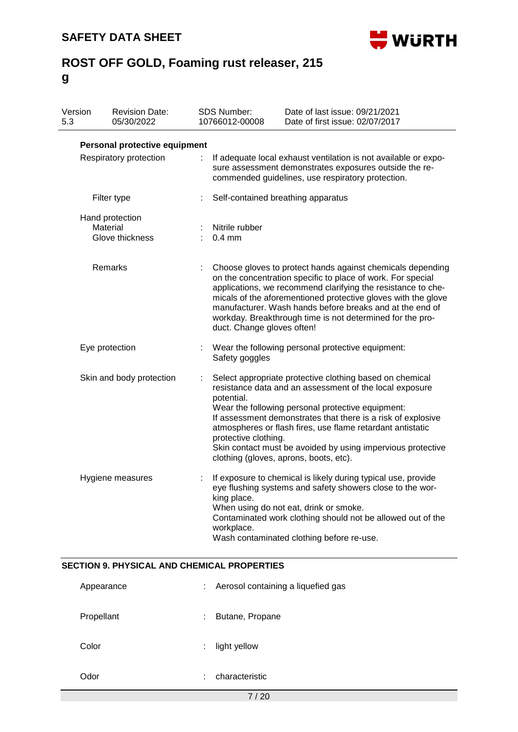Revision Date:

Version



Date of last issue: 09/21/2021

# **ROST OFF GOLD, Foaming rust releaser, 215 g**

SDS Number:

| 5.3 | 05/30/2022                                         |   | 10766012-00008<br>Date of first issue: 02/07/2017                                                                                                                                                                                                                                                                                                                                                                                                     |  |  |
|-----|----------------------------------------------------|---|-------------------------------------------------------------------------------------------------------------------------------------------------------------------------------------------------------------------------------------------------------------------------------------------------------------------------------------------------------------------------------------------------------------------------------------------------------|--|--|
|     | Personal protective equipment                      |   |                                                                                                                                                                                                                                                                                                                                                                                                                                                       |  |  |
|     |                                                    |   |                                                                                                                                                                                                                                                                                                                                                                                                                                                       |  |  |
|     | Respiratory protection                             | ÷ | If adequate local exhaust ventilation is not available or expo-<br>sure assessment demonstrates exposures outside the re-<br>commended guidelines, use respiratory protection.                                                                                                                                                                                                                                                                        |  |  |
|     | Filter type                                        |   | Self-contained breathing apparatus                                                                                                                                                                                                                                                                                                                                                                                                                    |  |  |
|     | Hand protection                                    |   |                                                                                                                                                                                                                                                                                                                                                                                                                                                       |  |  |
|     | Material                                           |   | Nitrile rubber                                                                                                                                                                                                                                                                                                                                                                                                                                        |  |  |
|     | Glove thickness                                    |   | $0.4$ mm                                                                                                                                                                                                                                                                                                                                                                                                                                              |  |  |
|     | Remarks                                            | t | Choose gloves to protect hands against chemicals depending<br>on the concentration specific to place of work. For special<br>applications, we recommend clarifying the resistance to che-<br>micals of the aforementioned protective gloves with the glove<br>manufacturer. Wash hands before breaks and at the end of<br>workday. Breakthrough time is not determined for the pro-<br>duct. Change gloves often!                                     |  |  |
|     | Eye protection                                     |   | Wear the following personal protective equipment:<br>Safety goggles                                                                                                                                                                                                                                                                                                                                                                                   |  |  |
|     | Skin and body protection                           |   | Select appropriate protective clothing based on chemical<br>resistance data and an assessment of the local exposure<br>potential.<br>Wear the following personal protective equipment:<br>If assessment demonstrates that there is a risk of explosive<br>atmospheres or flash fires, use flame retardant antistatic<br>protective clothing.<br>Skin contact must be avoided by using impervious protective<br>clothing (gloves, aprons, boots, etc). |  |  |
|     | Hygiene measures                                   |   | If exposure to chemical is likely during typical use, provide<br>eye flushing systems and safety showers close to the wor-<br>king place.<br>When using do not eat, drink or smoke<br>Contaminated work clothing should not be allowed out of the<br>workplace.<br>Wash contaminated clothing before re-use.                                                                                                                                          |  |  |
|     | <b>SECTION 9. PHYSICAL AND CHEMICAL PROPERTIES</b> |   |                                                                                                                                                                                                                                                                                                                                                                                                                                                       |  |  |
|     | Appearance                                         |   | Aerosol containing a liquefied gas                                                                                                                                                                                                                                                                                                                                                                                                                    |  |  |
|     | Propellant                                         |   | Butane, Propane                                                                                                                                                                                                                                                                                                                                                                                                                                       |  |  |
|     | Color                                              |   | light yellow                                                                                                                                                                                                                                                                                                                                                                                                                                          |  |  |
|     | Odor                                               |   | characteristic                                                                                                                                                                                                                                                                                                                                                                                                                                        |  |  |
|     | 7/20                                               |   |                                                                                                                                                                                                                                                                                                                                                                                                                                                       |  |  |
|     |                                                    |   |                                                                                                                                                                                                                                                                                                                                                                                                                                                       |  |  |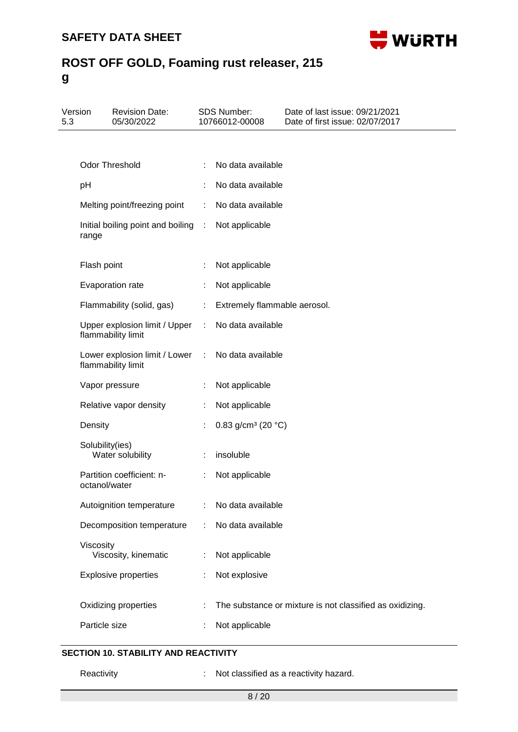

| 5.3 | Version         | <b>Revision Date:</b><br>05/30/2022                 |                      | <b>SDS Number:</b><br>10766012-00008     | Date of last issue: 09/21/2021<br>Date of first issue: 02/07/2017 |
|-----|-----------------|-----------------------------------------------------|----------------------|------------------------------------------|-------------------------------------------------------------------|
|     |                 |                                                     |                      |                                          |                                                                   |
|     |                 | Odor Threshold                                      |                      | No data available                        |                                                                   |
|     | pH              |                                                     |                      | No data available                        |                                                                   |
|     |                 | Melting point/freezing point                        | ÷                    | No data available                        |                                                                   |
|     | range           | Initial boiling point and boiling :                 |                      | Not applicable                           |                                                                   |
|     | Flash point     |                                                     |                      | Not applicable                           |                                                                   |
|     |                 | Evaporation rate                                    | ÷.                   | Not applicable                           |                                                                   |
|     |                 | Flammability (solid, gas)                           | ÷.                   | Extremely flammable aerosol.             |                                                                   |
|     |                 | Upper explosion limit / Upper<br>flammability limit | $\ddot{\phantom{a}}$ | No data available                        |                                                                   |
|     |                 | Lower explosion limit / Lower<br>flammability limit | ÷                    | No data available                        |                                                                   |
|     |                 | Vapor pressure                                      |                      | Not applicable                           |                                                                   |
|     |                 | Relative vapor density                              | t.                   | Not applicable                           |                                                                   |
|     | Density         |                                                     |                      | 0.83 g/cm <sup>3</sup> (20 $^{\circ}$ C) |                                                                   |
|     | Solubility(ies) | Water solubility                                    |                      | insoluble                                |                                                                   |
|     | octanol/water   | Partition coefficient: n-                           |                      | Not applicable                           |                                                                   |
|     |                 | Autoignition temperature                            |                      | No data available                        |                                                                   |
|     |                 | Decomposition temperature                           | ÷.                   | No data available                        |                                                                   |
|     | Viscosity       | Viscosity, kinematic                                |                      | Not applicable                           |                                                                   |
|     |                 | <b>Explosive properties</b>                         |                      | Not explosive                            |                                                                   |
|     |                 | Oxidizing properties                                |                      |                                          | The substance or mixture is not classified as oxidizing.          |
|     | Particle size   |                                                     |                      | Not applicable                           |                                                                   |

## **SECTION 10. STABILITY AND REACTIVITY**

Reactivity **Reactivity** : Not classified as a reactivity hazard.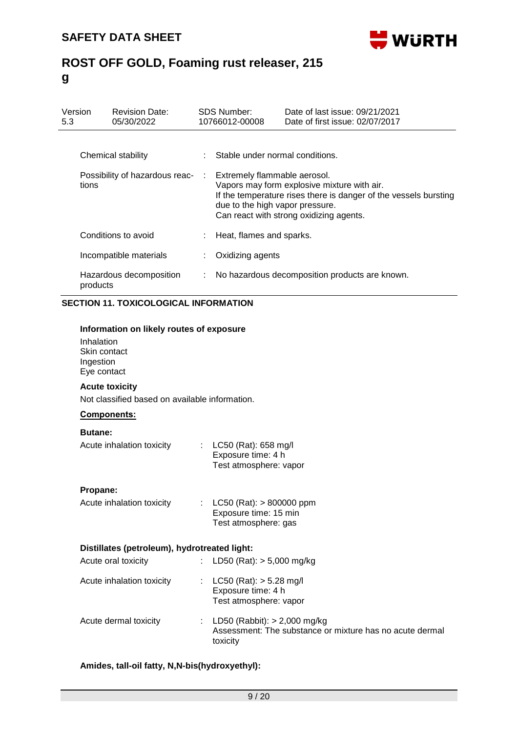

| Version<br>5.3 | <b>Revision Date:</b><br>05/30/2022     |   | <b>SDS Number:</b><br>10766012-00008                              | Date of last issue: 09/21/2021<br>Date of first issue: 02/07/2017                                                                                          |
|----------------|-----------------------------------------|---|-------------------------------------------------------------------|------------------------------------------------------------------------------------------------------------------------------------------------------------|
|                | Chemical stability                      |   | : Stable under normal conditions.                                 |                                                                                                                                                            |
|                | Possibility of hazardous reac-<br>tions |   | : Extremely flammable aerosol.<br>due to the high vapor pressure. | Vapors may form explosive mixture with air.<br>If the temperature rises there is danger of the vessels bursting<br>Can react with strong oxidizing agents. |
|                | Conditions to avoid                     |   | Heat, flames and sparks.                                          |                                                                                                                                                            |
|                | Incompatible materials                  |   | Oxidizing agents                                                  |                                                                                                                                                            |
|                | Hazardous decomposition<br>products     | ÷ |                                                                   | No hazardous decomposition products are known.                                                                                                             |

### **SECTION 11. TOXICOLOGICAL INFORMATION**

#### **Information on likely routes of exposure**

Inhalation Skin contact Ingestion Eye contact

#### **Acute toxicity**

Not classified based on available information.

### **Components:**

#### **Butane:**

| Acute inhalation toxicity | : $LC50$ (Rat): 658 mg/l<br>Exposure time: 4 h<br>Test atmosphere: vapor |
|---------------------------|--------------------------------------------------------------------------|
| Propane:                  |                                                                          |

| Acute inhalation toxicity | : LC50 (Rat): $> 800000$ ppm |
|---------------------------|------------------------------|
|                           | Exposure time: 15 min        |
|                           | Test atmosphere: gas         |

#### **Distillates (petroleum), hydrotreated light:**

| Acute oral toxicity       | : LD50 (Rat): $>$ 5,000 mg/kg                                                                            |
|---------------------------|----------------------------------------------------------------------------------------------------------|
| Acute inhalation toxicity | : $LC50$ (Rat): $> 5.28$ mg/l<br>Exposure time: 4 h<br>Test atmosphere: vapor                            |
| Acute dermal toxicity     | : LD50 (Rabbit): $> 2,000$ mg/kg<br>Assessment: The substance or mixture has no acute dermal<br>toxicity |

### **Amides, tall-oil fatty, N,N-bis(hydroxyethyl):**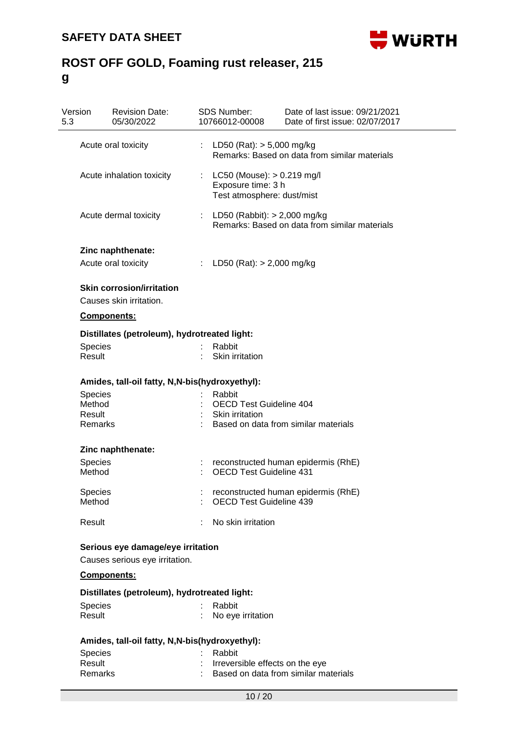

| Version<br>5.3 | <b>Revision Date:</b><br>05/30/2022                         |    | <b>SDS Number:</b><br>10766012-00008                                                 | Date of last issue: 09/21/2021<br>Date of first issue: 02/07/2017 |
|----------------|-------------------------------------------------------------|----|--------------------------------------------------------------------------------------|-------------------------------------------------------------------|
|                | Acute oral toxicity                                         |    | LD50 (Rat): $> 5,000$ mg/kg                                                          | Remarks: Based on data from similar materials                     |
|                | Acute inhalation toxicity                                   |    | : $LC50$ (Mouse): $> 0.219$ mg/l<br>Exposure time: 3 h<br>Test atmosphere: dust/mist |                                                                   |
|                | Acute dermal toxicity                                       | ÷. | LD50 (Rabbit): > 2,000 mg/kg                                                         | Remarks: Based on data from similar materials                     |
|                | Zinc naphthenate:                                           |    |                                                                                      |                                                                   |
|                | Acute oral toxicity                                         |    | LD50 (Rat): $> 2,000$ mg/kg                                                          |                                                                   |
|                | <b>Skin corrosion/irritation</b><br>Causes skin irritation. |    |                                                                                      |                                                                   |
|                | <b>Components:</b>                                          |    |                                                                                      |                                                                   |
|                | Distillates (petroleum), hydrotreated light:                |    |                                                                                      |                                                                   |
| <b>Species</b> |                                                             |    | Rabbit                                                                               |                                                                   |
| Result         |                                                             |    | Skin irritation                                                                      |                                                                   |
|                | Amides, tall-oil fatty, N,N-bis(hydroxyethyl):              |    |                                                                                      |                                                                   |
| <b>Species</b> |                                                             |    | Rabbit                                                                               |                                                                   |
| Method         |                                                             |    | <b>OECD Test Guideline 404</b>                                                       |                                                                   |
| Result         |                                                             |    | Skin irritation                                                                      |                                                                   |
| Remarks        |                                                             |    |                                                                                      | Based on data from similar materials                              |
|                | Zinc naphthenate:                                           |    |                                                                                      |                                                                   |
| <b>Species</b> |                                                             | t  |                                                                                      | reconstructed human epidermis (RhE)                               |
| Method         |                                                             |    | <b>OECD Test Guideline 431</b>                                                       |                                                                   |
| <b>Species</b> |                                                             |    |                                                                                      | reconstructed human epidermis (RhE)                               |
| Method         |                                                             |    | <b>OECD Test Guideline 439</b>                                                       |                                                                   |
| Result         |                                                             |    | No skin irritation                                                                   |                                                                   |
|                | Serious eye damage/eye irritation                           |    |                                                                                      |                                                                   |
|                | Causes serious eye irritation.                              |    |                                                                                      |                                                                   |
|                | Components:                                                 |    |                                                                                      |                                                                   |
|                | Distillates (petroleum), hydrotreated light:                |    |                                                                                      |                                                                   |
| <b>Species</b> |                                                             |    | Rabbit                                                                               |                                                                   |
| Result         |                                                             |    | No eye irritation                                                                    |                                                                   |
|                | Amides, tall-oil fatty, N,N-bis(hydroxyethyl):              |    |                                                                                      |                                                                   |
| Species        |                                                             |    | Rabbit                                                                               |                                                                   |
| Result         |                                                             |    | Irreversible effects on the eye                                                      |                                                                   |
| Remarks        |                                                             |    |                                                                                      | Based on data from similar materials                              |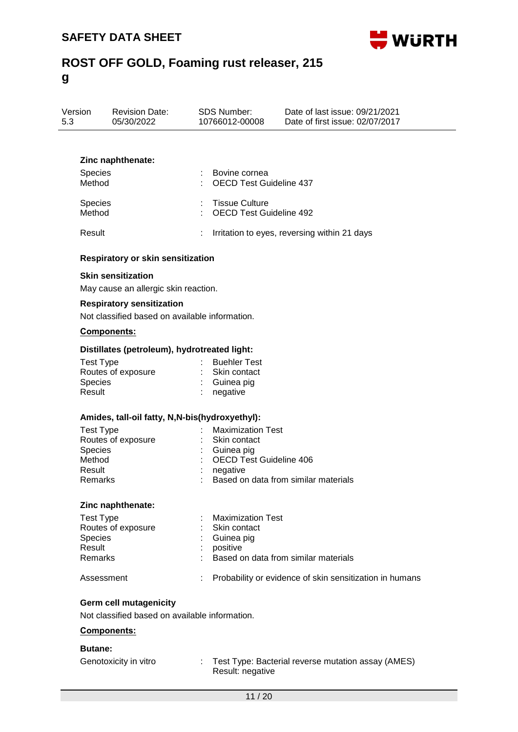

| Version | <b>Revision Date:</b> | SDS Number:    | Date of last issue: 09/21/2021  |
|---------|-----------------------|----------------|---------------------------------|
| 5.3     | 05/30/2022            | 10766012-00008 | Date of first issue: 02/07/2017 |
|         |                       |                |                                 |

#### **Zinc naphthenate:**

| <b>Species</b> | Bovine cornea                                  |
|----------------|------------------------------------------------|
| Method         | : OECD Test Guideline 437                      |
| Species        | : Tissue Culture                               |
| Method         | : OECD Test Guideline 492                      |
| Result         | : Irritation to eyes, reversing within 21 days |

#### **Respiratory or skin sensitization**

#### **Skin sensitization**

May cause an allergic skin reaction.

# **Respiratory sensitization**

Not classified based on available information.

### **Components:**

#### **Distillates (petroleum), hydrotreated light:**

| Test Type          | <b>Buehler Test</b>     |
|--------------------|-------------------------|
| Routes of exposure | : Skin contact          |
| <b>Species</b>     | $\therefore$ Guinea pig |
| Result             | $:$ negative            |

#### **Amides, tall-oil fatty, N,N-bis(hydroxyethyl):**

| Test Type          | : Maximization Test                  |
|--------------------|--------------------------------------|
| Routes of exposure | : Skin contact                       |
| <b>Species</b>     | : Guinea pig                         |
| Method             | : OECD Test Guideline 406            |
| Result             | negative                             |
| Remarks            | Based on data from similar materials |

#### **Zinc naphthenate:**

| Test Type          | <b>Maximization Test</b>                                      |
|--------------------|---------------------------------------------------------------|
| Routes of exposure | : Skin contact                                                |
| <b>Species</b>     | $\therefore$ Guinea pig                                       |
| Result             | positive                                                      |
| Remarks            | Based on data from similar materials                          |
| Assessment         | Probability or evidence of skin sensitization in humans<br>÷. |

### **Germ cell mutagenicity**

Not classified based on available information.

#### **Components:**

#### **Butane:**

| Genotoxicity in vitro |  |
|-----------------------|--|
|                       |  |

Genotoxicity in vitro : Test Type: Bacterial reverse mutation assay (AMES) Result: negative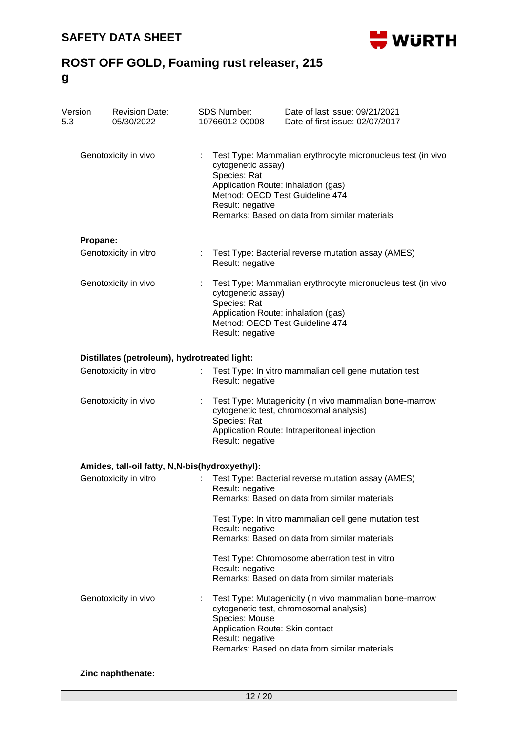

| Version<br>5.3 | <b>Revision Date:</b><br>05/30/2022            |                | <b>SDS Number:</b><br>10766012-00008                                                                                                                                                                                        | Date of last issue: 09/21/2021<br>Date of first issue: 02/07/2017                                                                                                                      |  |  |
|----------------|------------------------------------------------|----------------|-----------------------------------------------------------------------------------------------------------------------------------------------------------------------------------------------------------------------------|----------------------------------------------------------------------------------------------------------------------------------------------------------------------------------------|--|--|
|                | Genotoxicity in vivo                           | ÷.             | cytogenetic assay)<br>Species: Rat<br>Result: negative                                                                                                                                                                      | Test Type: Mammalian erythrocyte micronucleus test (in vivo<br>Application Route: inhalation (gas)<br>Method: OECD Test Guideline 474<br>Remarks: Based on data from similar materials |  |  |
| Propane:       |                                                |                |                                                                                                                                                                                                                             |                                                                                                                                                                                        |  |  |
|                | Genotoxicity in vitro                          | $\mathbb{R}^n$ | Test Type: Bacterial reverse mutation assay (AMES)<br>Result: negative                                                                                                                                                      |                                                                                                                                                                                        |  |  |
|                | Genotoxicity in vivo                           |                | Test Type: Mammalian erythrocyte micronucleus test (in vivo<br>cytogenetic assay)<br>Species: Rat<br>Application Route: inhalation (gas)<br>Method: OECD Test Guideline 474<br>Result: negative                             |                                                                                                                                                                                        |  |  |
|                | Distillates (petroleum), hydrotreated light:   |                |                                                                                                                                                                                                                             |                                                                                                                                                                                        |  |  |
|                | Genotoxicity in vitro                          |                | Result: negative                                                                                                                                                                                                            | Test Type: In vitro mammalian cell gene mutation test                                                                                                                                  |  |  |
|                | Genotoxicity in vivo                           |                | Test Type: Mutagenicity (in vivo mammalian bone-marrow<br>cytogenetic test, chromosomal analysis)<br>Species: Rat<br>Application Route: Intraperitoneal injection<br>Result: negative                                       |                                                                                                                                                                                        |  |  |
|                | Amides, tall-oil fatty, N,N-bis(hydroxyethyl): |                |                                                                                                                                                                                                                             |                                                                                                                                                                                        |  |  |
|                | Genotoxicity in vitro                          |                | Result: negative                                                                                                                                                                                                            | Test Type: Bacterial reverse mutation assay (AMES)<br>Remarks: Based on data from similar materials                                                                                    |  |  |
|                |                                                |                | Result: negative                                                                                                                                                                                                            | Test Type: In vitro mammalian cell gene mutation test<br>Remarks: Based on data from similar materials                                                                                 |  |  |
|                |                                                |                | Result: negative                                                                                                                                                                                                            | Test Type: Chromosome aberration test in vitro<br>Remarks: Based on data from similar materials                                                                                        |  |  |
|                | Genotoxicity in vivo                           |                | Test Type: Mutagenicity (in vivo mammalian bone-marrow<br>cytogenetic test, chromosomal analysis)<br>Species: Mouse<br>Application Route: Skin contact<br>Result: negative<br>Remarks: Based on data from similar materials |                                                                                                                                                                                        |  |  |

### **Zinc naphthenate:**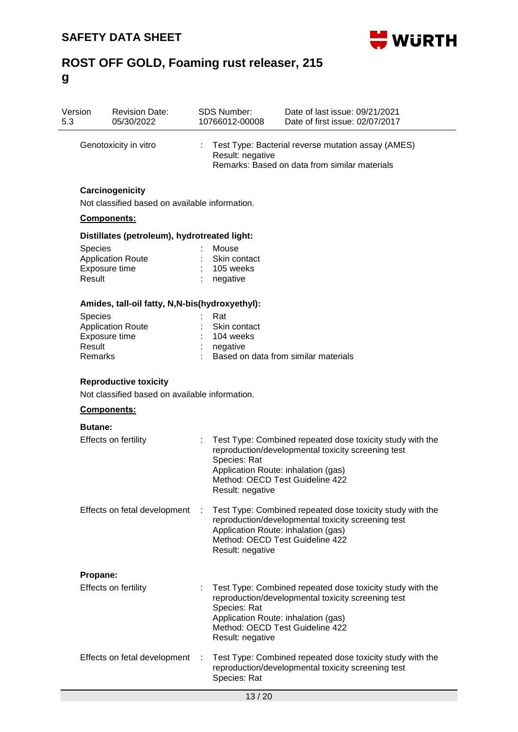

| Version<br>5.3 | <b>Revision Date:</b><br>05/30/2022                               |  | <b>SDS Number:</b><br>10766012-00008                                                                       | Date of last issue: 09/21/2021<br>Date of first issue: 02/07/2017                                                       |  |  |  |
|----------------|-------------------------------------------------------------------|--|------------------------------------------------------------------------------------------------------------|-------------------------------------------------------------------------------------------------------------------------|--|--|--|
|                | Genotoxicity in vitro                                             |  |                                                                                                            | Test Type: Bacterial reverse mutation assay (AMES)<br>Result: negative<br>Remarks: Based on data from similar materials |  |  |  |
|                | Carcinogenicity<br>Not classified based on available information. |  |                                                                                                            |                                                                                                                         |  |  |  |
|                | Components:                                                       |  |                                                                                                            |                                                                                                                         |  |  |  |
|                | Distillates (petroleum), hydrotreated light:                      |  |                                                                                                            |                                                                                                                         |  |  |  |
|                | Species                                                           |  | Mouse                                                                                                      |                                                                                                                         |  |  |  |
|                | <b>Application Route</b>                                          |  | Skin contact                                                                                               |                                                                                                                         |  |  |  |
|                | Exposure time<br>Result                                           |  | 105 weeks<br>negative                                                                                      |                                                                                                                         |  |  |  |
|                | Amides, tall-oil fatty, N,N-bis(hydroxyethyl):                    |  |                                                                                                            |                                                                                                                         |  |  |  |
|                | <b>Species</b>                                                    |  | Rat                                                                                                        |                                                                                                                         |  |  |  |
|                | <b>Application Route</b>                                          |  | Skin contact                                                                                               |                                                                                                                         |  |  |  |
|                | Exposure time                                                     |  | 104 weeks                                                                                                  |                                                                                                                         |  |  |  |
|                | Result<br>Remarks                                                 |  | negative                                                                                                   | Based on data from similar materials                                                                                    |  |  |  |
|                | <b>Reproductive toxicity</b>                                      |  |                                                                                                            |                                                                                                                         |  |  |  |
|                | Not classified based on available information.                    |  |                                                                                                            |                                                                                                                         |  |  |  |
|                | <b>Components:</b>                                                |  |                                                                                                            |                                                                                                                         |  |  |  |
|                | <b>Butane:</b>                                                    |  |                                                                                                            |                                                                                                                         |  |  |  |
|                | Effects on fertility                                              |  | Species: Rat<br>Application Route: inhalation (gas)<br>Method: OECD Test Guideline 422<br>Result: negative | Test Type: Combined repeated dose toxicity study with the<br>reproduction/developmental toxicity screening test         |  |  |  |
|                | Effects on fetal development                                      |  | Application Route: inhalation (gas)<br>Method: OECD Test Guideline 422<br>Result: negative                 | Test Type: Combined repeated dose toxicity study with the<br>reproduction/developmental toxicity screening test         |  |  |  |
|                | Propane:                                                          |  |                                                                                                            |                                                                                                                         |  |  |  |
|                | <b>Effects on fertility</b>                                       |  | Species: Rat<br>Application Route: inhalation (gas)<br>Method: OECD Test Guideline 422<br>Result: negative | Test Type: Combined repeated dose toxicity study with the<br>reproduction/developmental toxicity screening test         |  |  |  |
|                | Effects on fetal development                                      |  | Species: Rat                                                                                               | Test Type: Combined repeated dose toxicity study with the<br>reproduction/developmental toxicity screening test         |  |  |  |
|                |                                                                   |  | 13/20                                                                                                      |                                                                                                                         |  |  |  |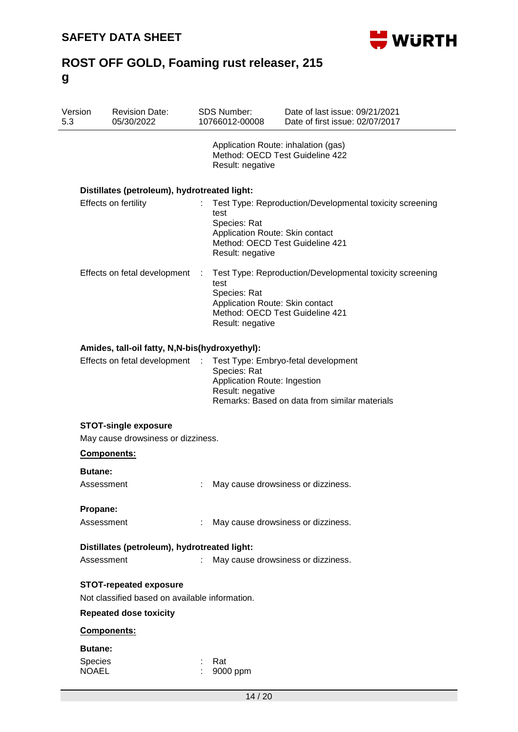

| Version<br>5.3          | <b>Revision Date:</b><br>05/30/2022                                             |                  | SDS Number:<br>10766012-00008                                                                                  | Date of last issue: 09/21/2021<br>Date of first issue: 02/07/2017                    |
|-------------------------|---------------------------------------------------------------------------------|------------------|----------------------------------------------------------------------------------------------------------------|--------------------------------------------------------------------------------------|
|                         |                                                                                 |                  | Application Route: inhalation (gas)<br>Method: OECD Test Guideline 422<br>Result: negative                     |                                                                                      |
|                         | Distillates (petroleum), hydrotreated light:                                    |                  |                                                                                                                |                                                                                      |
|                         | Effects on fertility                                                            |                  | test<br>Species: Rat<br>Application Route: Skin contact<br>Method: OECD Test Guideline 421<br>Result: negative | Test Type: Reproduction/Developmental toxicity screening                             |
|                         | Effects on fetal development                                                    | ÷                | test<br>Species: Rat<br>Application Route: Skin contact<br>Method: OECD Test Guideline 421<br>Result: negative | Test Type: Reproduction/Developmental toxicity screening                             |
|                         | Amides, tall-oil fatty, N,N-bis(hydroxyethyl):                                  |                  |                                                                                                                |                                                                                      |
|                         | Effects on fetal development                                                    | $\sim$ 10 $\sim$ | Species: Rat<br>Application Route: Ingestion<br>Result: negative                                               | Test Type: Embryo-fetal development<br>Remarks: Based on data from similar materials |
|                         | <b>STOT-single exposure</b><br>May cause drowsiness or dizziness.               |                  |                                                                                                                |                                                                                      |
|                         | Components:                                                                     |                  |                                                                                                                |                                                                                      |
| <b>Butane:</b>          | Assessment                                                                      |                  |                                                                                                                | May cause drowsiness or dizziness.                                                   |
| Propane:                |                                                                                 |                  |                                                                                                                |                                                                                      |
|                         | Assessment                                                                      |                  |                                                                                                                | May cause drowsiness or dizziness.                                                   |
|                         | Distillates (petroleum), hydrotreated light:                                    |                  |                                                                                                                |                                                                                      |
|                         | Assessment                                                                      |                  |                                                                                                                | May cause drowsiness or dizziness.                                                   |
|                         | <b>STOT-repeated exposure</b><br>Not classified based on available information. |                  |                                                                                                                |                                                                                      |
|                         | <b>Repeated dose toxicity</b>                                                   |                  |                                                                                                                |                                                                                      |
|                         | Components:                                                                     |                  |                                                                                                                |                                                                                      |
| <b>Butane:</b>          |                                                                                 |                  |                                                                                                                |                                                                                      |
| Species<br><b>NOAEL</b> |                                                                                 |                  | Rat<br>9000 ppm                                                                                                |                                                                                      |
|                         |                                                                                 |                  |                                                                                                                |                                                                                      |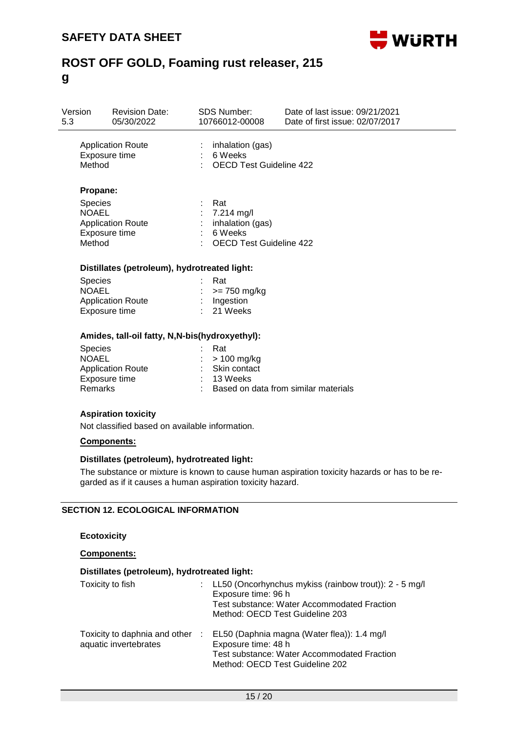

| Version<br>5.3 |                                                            | <b>Revision Date:</b><br>05/30/2022            | <b>SDS Number:</b><br>10766012-00008                     |                                                                                      | Date of last issue: 09/21/2021<br>Date of first issue: 02/07/2017 |  |  |  |
|----------------|------------------------------------------------------------|------------------------------------------------|----------------------------------------------------------|--------------------------------------------------------------------------------------|-------------------------------------------------------------------|--|--|--|
|                | <b>Application Route</b><br>Exposure time<br>Method        |                                                |                                                          | $:$ inhalation (gas)<br>$: 6$ Weeks<br><b>OECD Test Guideline 422</b>                |                                                                   |  |  |  |
|                | Propane:                                                   |                                                |                                                          |                                                                                      |                                                                   |  |  |  |
|                | Species<br><b>NOAEL</b><br>Exposure time<br>Method         | <b>Application Route</b>                       |                                                          | Rat<br>7.214 mg/l<br>inhalation (gas)<br>: 6 Weeks<br><b>OECD Test Guideline 422</b> |                                                                   |  |  |  |
|                |                                                            | Distillates (petroleum), hydrotreated light:   |                                                          |                                                                                      |                                                                   |  |  |  |
|                | <b>Species</b><br><b>NOAEL</b><br>Exposure time            | <b>Application Route</b>                       | Rat<br>: $>= 750$ mg/kg<br>: Ingestion<br>21 Weeks<br>t. |                                                                                      |                                                                   |  |  |  |
|                |                                                            | Amides, tall-oil fatty, N,N-bis(hydroxyethyl): |                                                          |                                                                                      |                                                                   |  |  |  |
|                | <b>Species</b><br><b>NOAEL</b><br>Exposure time<br>Remarks | <b>Application Route</b>                       |                                                          | Rat<br>$:$ > 100 mg/kg<br>: Skin contact<br>$: 13$ Weeks                             | Based on data from similar materials                              |  |  |  |
|                |                                                            | <b>Aspiration toxicity</b>                     |                                                          |                                                                                      |                                                                   |  |  |  |

Not classified based on available information.

#### **Components:**

#### **Distillates (petroleum), hydrotreated light:**

The substance or mixture is known to cause human aspiration toxicity hazards or has to be regarded as if it causes a human aspiration toxicity hazard.

### **SECTION 12. ECOLOGICAL INFORMATION**

### **Ecotoxicity**

**Components:**

#### **Distillates (petroleum), hydrotreated light:**

| Toxicity to fish                                       | t in       | LL50 (Oncorhynchus mykiss (rainbow trout)): 2 - 5 mg/l<br>Exposure time: 96 h<br><b>Test substance: Water Accommodated Fraction</b><br>Method: OECD Test Guideline 203 |
|--------------------------------------------------------|------------|------------------------------------------------------------------------------------------------------------------------------------------------------------------------|
| Toxicity to daphnia and other<br>aquatic invertebrates | $\sim 100$ | EL50 (Daphnia magna (Water flea)): 1.4 mg/l<br>Exposure time: 48 h<br><b>Test substance: Water Accommodated Fraction</b><br>Method: OECD Test Guideline 202            |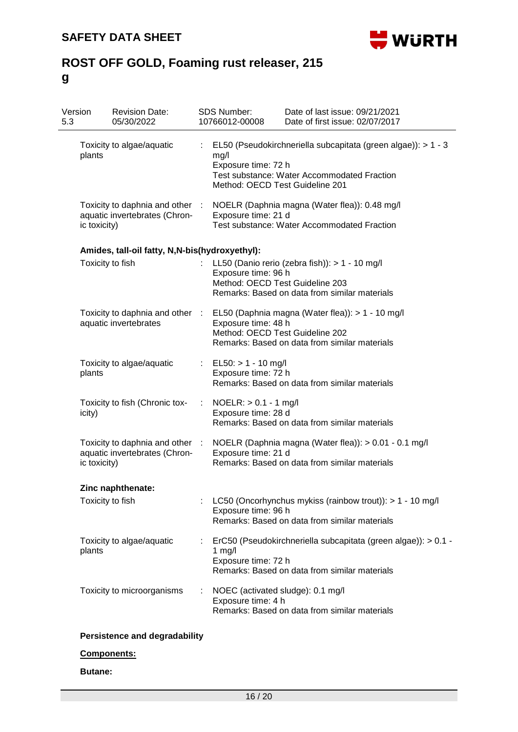

| Toxicity to algae/aquatic<br>Toxicity to daphnia and other :     | t. | mg/l<br>Exposure time: 72 h                                                                                         | EL50 (Pseudokirchneriella subcapitata (green algae)): > 1 - 3                                                   |
|------------------------------------------------------------------|----|---------------------------------------------------------------------------------------------------------------------|-----------------------------------------------------------------------------------------------------------------|
|                                                                  |    | Method: OECD Test Guideline 201                                                                                     | Test substance: Water Accommodated Fraction                                                                     |
| aquatic invertebrates (Chron-                                    |    | NOELR (Daphnia magna (Water flea)): 0.48 mg/l<br>Exposure time: 21 d<br>Test substance: Water Accommodated Fraction |                                                                                                                 |
| Amides, tall-oil fatty, N,N-bis(hydroxyethyl):                   |    |                                                                                                                     |                                                                                                                 |
|                                                                  |    | Exposure time: 96 h<br>Method: OECD Test Guideline 203                                                              | LL50 (Danio rerio (zebra fish)): $> 1 - 10$ mg/l<br>Remarks: Based on data from similar materials               |
| Toxicity to daphnia and other :<br>aquatic invertebrates         |    | Exposure time: 48 h<br>Method: OECD Test Guideline 202                                                              | EL50 (Daphnia magna (Water flea)): > 1 - 10 mg/l<br>Remarks: Based on data from similar materials               |
| Toxicity to algae/aquatic                                        |    | $EL50: > 1 - 10$ mg/l<br>Exposure time: 72 h                                                                        | Remarks: Based on data from similar materials                                                                   |
| Toxicity to fish (Chronic tox-                                   |    | $NOELR: > 0.1 - 1$ mg/l<br>Exposure time: 28 d                                                                      | Remarks: Based on data from similar materials                                                                   |
| Toxicity to daphnia and other :<br>aquatic invertebrates (Chron- |    | Exposure time: 21 d                                                                                                 | NOELR (Daphnia magna (Water flea)): > 0.01 - 0.1 mg/l<br>Remarks: Based on data from similar materials          |
| Zinc naphthenate:                                                |    |                                                                                                                     |                                                                                                                 |
|                                                                  |    | Exposure time: 96 h                                                                                                 | LC50 (Oncorhynchus mykiss (rainbow trout)): > 1 - 10 mg/l<br>Remarks: Based on data from similar materials      |
| Toxicity to algae/aquatic                                        |    | 1 $mg/l$<br>Exposure time: 72 h                                                                                     | ErC50 (Pseudokirchneriella subcapitata (green algae)): > 0.1 -<br>Remarks: Based on data from similar materials |
| Toxicity to microorganisms                                       |    | NOEC (activated sludge): 0.1 mg/l<br>Exposure time: 4 h                                                             | Remarks: Based on data from similar materials                                                                   |
|                                                                  |    | <b>Persistence and degradability</b>                                                                                |                                                                                                                 |

# **Components:**

### **Butane:**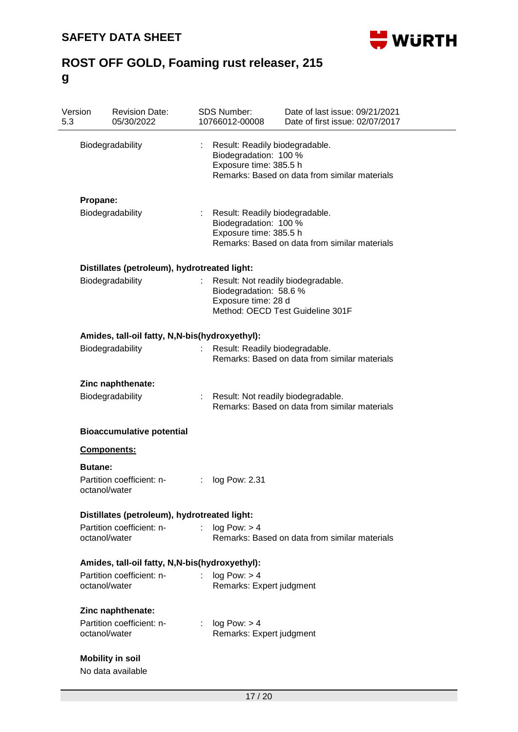

| Version<br>5.3   | <b>Revision Date:</b><br>05/30/2022            |                           | SDS Number:<br>10766012-00008                                                                                                        | Date of last issue: 09/21/2021<br>Date of first issue: 02/07/2017                   |  |  |  |  |
|------------------|------------------------------------------------|---------------------------|--------------------------------------------------------------------------------------------------------------------------------------|-------------------------------------------------------------------------------------|--|--|--|--|
| Biodegradability |                                                |                           | Result: Readily biodegradable.<br>Biodegradation: 100 %<br>Exposure time: 385.5 h<br>Remarks: Based on data from similar materials   |                                                                                     |  |  |  |  |
| Propane:         |                                                |                           |                                                                                                                                      |                                                                                     |  |  |  |  |
|                  | Biodegradability                               |                           | : Result: Readily biodegradable.<br>Biodegradation: 100 %<br>Exposure time: 385.5 h<br>Remarks: Based on data from similar materials |                                                                                     |  |  |  |  |
|                  | Distillates (petroleum), hydrotreated light:   |                           |                                                                                                                                      |                                                                                     |  |  |  |  |
|                  | Biodegradability                               | $\mathbb{R}^{\mathbb{Z}}$ | Biodegradation: 58.6 %<br>Exposure time: 28 d                                                                                        | Result: Not readily biodegradable.<br>Method: OECD Test Guideline 301F              |  |  |  |  |
|                  | Amides, tall-oil fatty, N,N-bis(hydroxyethyl): |                           |                                                                                                                                      |                                                                                     |  |  |  |  |
|                  | Biodegradability                               |                           | Result: Readily biodegradable.                                                                                                       | Remarks: Based on data from similar materials                                       |  |  |  |  |
|                  | Zinc naphthenate:                              |                           |                                                                                                                                      |                                                                                     |  |  |  |  |
|                  | Biodegradability                               |                           |                                                                                                                                      | Result: Not readily biodegradable.<br>Remarks: Based on data from similar materials |  |  |  |  |
|                  | <b>Bioaccumulative potential</b>               |                           |                                                                                                                                      |                                                                                     |  |  |  |  |
|                  | Components:                                    |                           |                                                                                                                                      |                                                                                     |  |  |  |  |
| <b>Butane:</b>   |                                                |                           |                                                                                                                                      |                                                                                     |  |  |  |  |
|                  | Partition coefficient: n-<br>octanol/water     |                           | log Pow: 2.31                                                                                                                        |                                                                                     |  |  |  |  |
|                  | Distillates (petroleum), hydrotreated light:   |                           |                                                                                                                                      |                                                                                     |  |  |  |  |
|                  | Partition coefficient: n-<br>octanol/water     | $\mathbf{r} = \mathbf{r}$ | log Pow: > 4                                                                                                                         | Remarks: Based on data from similar materials                                       |  |  |  |  |
|                  | Amides, tall-oil fatty, N,N-bis(hydroxyethyl): |                           |                                                                                                                                      |                                                                                     |  |  |  |  |
|                  | Partition coefficient: n-                      |                           | log Pow: > 4                                                                                                                         |                                                                                     |  |  |  |  |
|                  | octanol/water                                  |                           | Remarks: Expert judgment                                                                                                             |                                                                                     |  |  |  |  |
|                  | Zinc naphthenate:                              |                           |                                                                                                                                      |                                                                                     |  |  |  |  |
|                  | Partition coefficient: n-                      |                           | log Pow: > 4                                                                                                                         |                                                                                     |  |  |  |  |
|                  | octanol/water                                  |                           | Remarks: Expert judgment                                                                                                             |                                                                                     |  |  |  |  |
|                  | <b>Mobility in soil</b>                        |                           |                                                                                                                                      |                                                                                     |  |  |  |  |
|                  | No data available                              |                           |                                                                                                                                      |                                                                                     |  |  |  |  |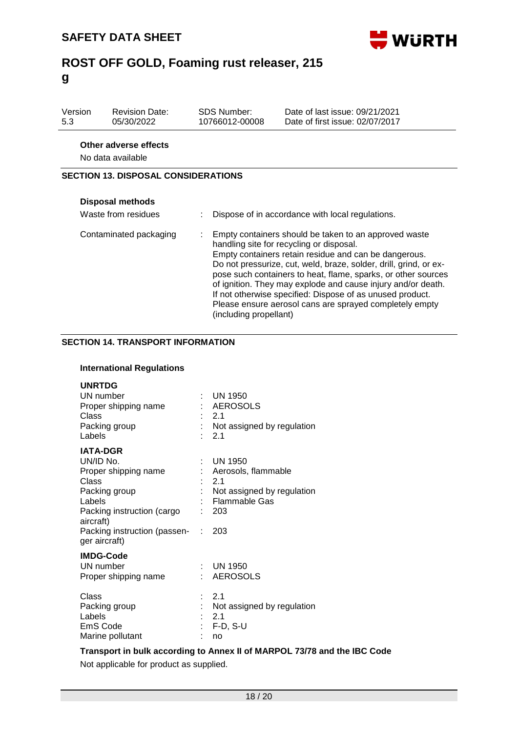

| Version<br>5.3                             | <b>Revision Date:</b><br>05/30/2022 |  | <b>SDS Number:</b><br>10766012-00008 | Date of last issue: 09/21/2021<br>Date of first issue: 02/07/2017  |  |  |
|--------------------------------------------|-------------------------------------|--|--------------------------------------|--------------------------------------------------------------------|--|--|
| Other adverse effects<br>No data available |                                     |  |                                      |                                                                    |  |  |
| <b>SECTION 13. DISPOSAL CONSIDERATIONS</b> |                                     |  |                                      |                                                                    |  |  |
|                                            | <b>Disposal methods</b>             |  |                                      |                                                                    |  |  |
|                                            | Waste from residues                 |  |                                      | Dispose of in accordance with local regulations.                   |  |  |
|                                            | Contaminated nackaging              |  |                                      | $\blacksquare$ Empty containers abould be taken to an approved wee |  |  |

| Contaminated packaging | Empty containers should be taken to an approved waste                             |
|------------------------|-----------------------------------------------------------------------------------|
|                        | handling site for recycling or disposal.                                          |
|                        | Empty containers retain residue and can be dangerous.                             |
|                        | Do not pressurize, cut, weld, braze, solder, drill, grind, or ex-                 |
|                        | pose such containers to heat, flame, sparks, or other sources                     |
|                        | of ignition. They may explode and cause injury and/or death.                      |
|                        | If not otherwise specified: Dispose of as unused product.                         |
|                        | Please ensure aerosol cans are sprayed completely empty<br>(including propellant) |

## **SECTION 14. TRANSPORT INFORMATION**

### **International Regulations**

| <b>UNRTDG</b><br>UN number<br>Proper shipping name<br>Class<br>Packing group<br>Labels                                                                                               |    | $\therefore$ UN 1950<br>: AEROSOLS<br>: 2.1<br>: Not assigned by regulation<br>2.1                           |
|--------------------------------------------------------------------------------------------------------------------------------------------------------------------------------------|----|--------------------------------------------------------------------------------------------------------------|
| <b>IATA-DGR</b><br>UN/ID No.<br>Proper shipping name<br>Class<br>Packing group<br>Labels<br>Packing instruction (cargo<br>aircraft)<br>Packing instruction (passen-<br>ger aircraft) | t. | UN 1950<br>: Aerosols, flammable<br>: 2.1<br>: Not assigned by regulation<br>: Flammable Gas<br>: 203<br>203 |
| <b>IMDG-Code</b><br>UN number<br>Proper shipping name                                                                                                                                |    | $:$ UN 1950<br>AEROSOLS                                                                                      |
| Class<br>Packing group<br>Labels<br>EmS Code<br>Marine pollutant                                                                                                                     |    | 2.1<br>: Not assigned by regulation<br>$\therefore$ 2.1<br>: F-D, S-U<br>no                                  |

### **Transport in bulk according to Annex II of MARPOL 73/78 and the IBC Code**

Not applicable for product as supplied.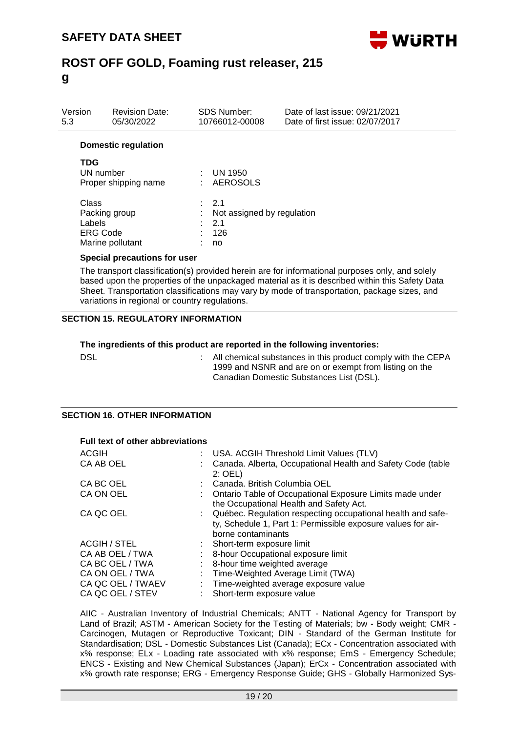

| Version<br>5.3 | <b>Revision Date:</b><br>05/30/2022 | <b>SDS Number:</b><br>10766012-00008 | Date of last issue: 09/21/2021<br>Date of first issue: 02/07/2017 |
|----------------|-------------------------------------|--------------------------------------|-------------------------------------------------------------------|
|                | <b>Domestic regulation</b>          |                                      |                                                                   |
| TDG            | $11N1$ pupped on                    | 11N140E0                             |                                                                   |

| UN number            | <b>UN 1950</b>               |
|----------------------|------------------------------|
| Proper shipping name | : AEROSOLS                   |
| Class                | : 2.1                        |
| Packing group        | : Not assigned by regulation |
| Labels               | : 2.1                        |
| <b>ERG Code</b>      | 126                          |
| Marine pollutant     | no                           |

#### **Special precautions for user**

The transport classification(s) provided herein are for informational purposes only, and solely based upon the properties of the unpackaged material as it is described within this Safety Data Sheet. Transportation classifications may vary by mode of transportation, package sizes, and variations in regional or country regulations.

#### **SECTION 15. REGULATORY INFORMATION**

## **The ingredients of this product are reported in the following inventories:**

DSL **EXAGGE :** All chemical substances in this product comply with the CEPA 1999 and NSNR and are on or exempt from listing on the Canadian Domestic Substances List (DSL).

#### **SECTION 16. OTHER INFORMATION**

**Full text of other abbreviations**

| <b>ACGIH</b>        |    | : USA. ACGIH Threshold Limit Values (TLV)                                                                                                           |
|---------------------|----|-----------------------------------------------------------------------------------------------------------------------------------------------------|
| CA AB OEL           |    | Canada. Alberta, Occupational Health and Safety Code (table<br>$2:$ OEL)                                                                            |
| CA BC OEL           |    | Canada, British Columbia OEL                                                                                                                        |
| CA ON OEL           |    | Ontario Table of Occupational Exposure Limits made under<br>the Occupational Health and Safety Act.                                                 |
| CA QC OEL           |    | : Québec. Regulation respecting occupational health and safe-<br>ty, Schedule 1, Part 1: Permissible exposure values for air-<br>borne contaminants |
| <b>ACGIH / STEL</b> |    | : Short-term exposure limit                                                                                                                         |
| CA AB OEL / TWA     |    | 8-hour Occupational exposure limit                                                                                                                  |
| CA BC OEL / TWA     |    | : 8-hour time weighted average                                                                                                                      |
| CA ON OEL / TWA     | t. | Time-Weighted Average Limit (TWA)                                                                                                                   |
| CA QC OEL / TWAEV   |    | : Time-weighted average exposure value                                                                                                              |
| CA QC OEL / STEV    |    | Short-term exposure value                                                                                                                           |
|                     |    |                                                                                                                                                     |

AIIC - Australian Inventory of Industrial Chemicals; ANTT - National Agency for Transport by Land of Brazil; ASTM - American Society for the Testing of Materials; bw - Body weight; CMR -Carcinogen, Mutagen or Reproductive Toxicant; DIN - Standard of the German Institute for Standardisation; DSL - Domestic Substances List (Canada); ECx - Concentration associated with x% response; ELx - Loading rate associated with x% response; EmS - Emergency Schedule; ENCS - Existing and New Chemical Substances (Japan); ErCx - Concentration associated with x% growth rate response; ERG - Emergency Response Guide; GHS - Globally Harmonized Sys-